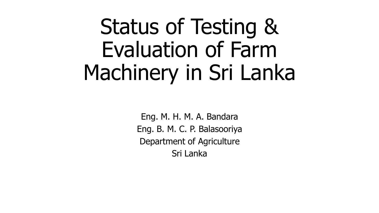## Status of Testing & Evaluation of Farm Machinery in Sri Lanka

Eng. M. H. M. A. Bandara Eng. B. M. C. P. Balasooriya Department of Agriculture Sri Lanka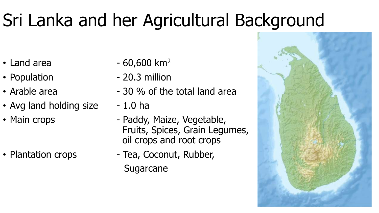### Sri Lanka and her Agricultural Background

- 
- 
- 
- Avg land holding size  $-1.0$  ha
- 

- Land area  $-60,600 \text{ km}^2$
- Population 20.3 million
- Arable area  $-30\%$  of the total land area
	-
- Main crops Paddy, Maize, Vegetable, Fruits, Spices, Grain Legumes, oil crops and root crops
- Plantation crops Tea, Coconut, Rubber, **Sugarcane**

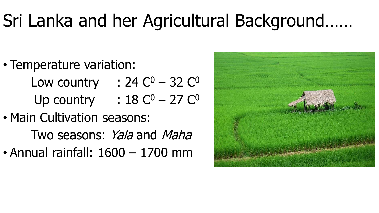#### Sri Lanka and her Agricultural Background……

- Temperature variation: Low country :  $24 \text{ C}^0 - 32 \text{ C}^0$ Up country :  $18 C^0 - 27 C^0$
- Main Cultivation seasons: Two seasons: Yala and Maha • Annual rainfall: 1600 – 1700 mm

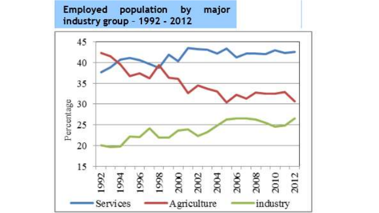#### Employed population by major industry group - 1992 - 2012

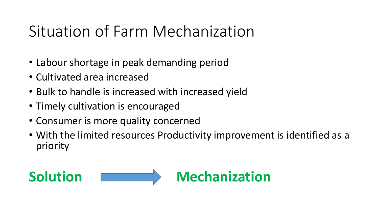#### Situation of Farm Mechanization

- Labour shortage in peak demanding period
- Cultivated area increased
- Bulk to handle is increased with increased yield
- Timely cultivation is encouraged
- Consumer is more quality concerned
- With the limited resources Productivity improvement is identified as a priority

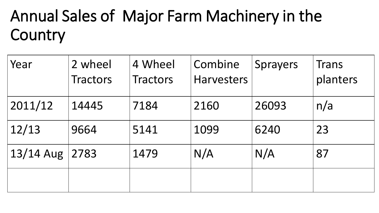#### Annual Sales of Major Farm Machinery in the **Country**

| Year      | 2 wheel<br><b>Tractors</b> | 4 Wheel<br><b>Tractors</b> | Combine<br><b>Harvesters</b> | <b>Sprayers</b> | Trans<br>planters |
|-----------|----------------------------|----------------------------|------------------------------|-----------------|-------------------|
| 2011/12   | 14445                      | 7184                       | 2160                         | 26093           | n/a               |
| 12/13     | 9664                       | 5141                       | 1099                         | 6240            | 23                |
| 13/14 Aug | 2783                       | 1479                       | N/A                          | N/A             | 87                |
|           |                            |                            |                              |                 |                   |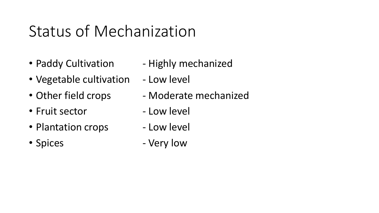#### Status of Mechanization

- 
- Vegetable cultivation Low level
- 
- Fruit sector The Low level
- Plantation crops Low level
- 
- Paddy Cultivation Highly mechanized
	-
- Other field crops Moderate mechanized
	-
	-
- Spices Very low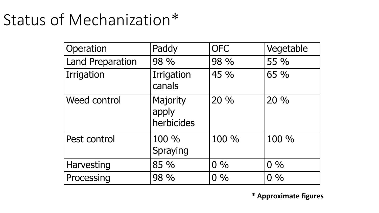#### Status of Mechanization\*

| Operation               | Paddy                           | <b>OFC</b> | Vegetable |
|-------------------------|---------------------------------|------------|-----------|
| <b>Land Preparation</b> | 98 %                            | 98 %       | 55 %      |
| Irrigation              | Irrigation<br>canals            | 45 %       | 65 %      |
| <b>Weed control</b>     | Majority<br>apply<br>herbicides | 20 %       | 20 %      |
| Pest control            | 100 %<br>Spraying               | 100 %      | 100 %     |
| <b>Harvesting</b>       | 85 %                            | $0\%$      | $0\%$     |
| Processing              | 98 %                            | $0\%$      | $0\%$     |

**\* Approximate figures**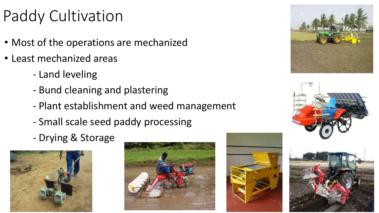#### Paddy Cultivation

- Most of the operations are mechanized
- Least mechanized areas
	- Land leveling
	- Bund cleaning and plastering
	- Plant establishment and weed management
	- Small scale seed paddy processing
	- Drying & Storage











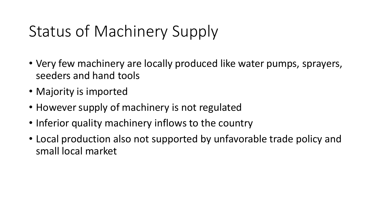#### Status of Machinery Supply

- Very few machinery are locally produced like water pumps, sprayers, seeders and hand tools
- Majority is imported
- However supply of machinery is not regulated
- Inferior quality machinery inflows to the country
- Local production also not supported by unfavorable trade policy and small local market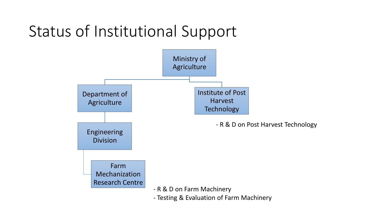#### Status of Institutional Support

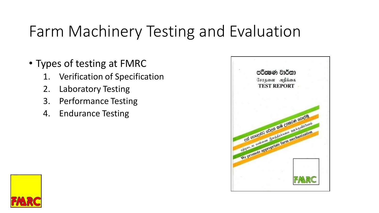#### Farm Machinery Testing and Evaluation

- Types of testing at FMRC
	- 1. Verification of Specification
	- 2. Laboratory Testing
	- 3. Performance Testing
	- 4. Endurance Testing



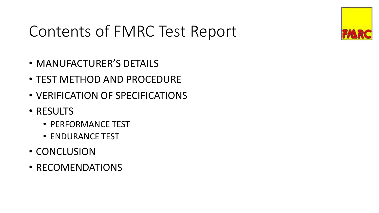#### Contents of FMRC Test Report

- MANUFACTURER'S DETAILS
- TEST METHOD AND PROCEDURE
- VERIFICATION OF SPECIFICATIONS
- RESULTS
	- PERFORMANCE TEST
	- ENDURANCE TEST
- CONCLUSION
- RECOMENDATIONS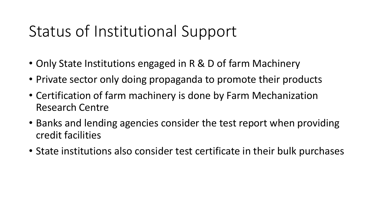#### Status of Institutional Support

- Only State Institutions engaged in R & D of farm Machinery
- Private sector only doing propaganda to promote their products
- Certification of farm machinery is done by Farm Mechanization Research Centre
- Banks and lending agencies consider the test report when providing credit facilities
- State institutions also consider test certificate in their bulk purchases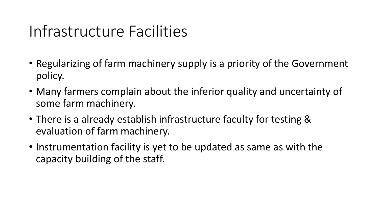#### Infrastructure Facilities

- Regularizing of farm machinery supply is a priority of the Government policy.
- Many farmers complain about the inferior quality and uncertainty of some farm machinery.
- There is a already establish infrastructure faculty for testing & evaluation of farm machinery.
- Instrumentation facility is yet to be updated as same as with the capacity building of the staff.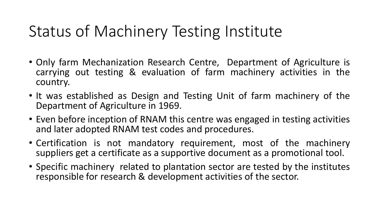#### Status of Machinery Testing Institute

- Only farm Mechanization Research Centre, Department of Agriculture is carrying out testing & evaluation of farm machinery activities in the country.
- It was established as Design and Testing Unit of farm machinery of the Department of Agriculture in 1969.
- Even before inception of RNAM this centre was engaged in testing activities and later adopted RNAM test codes and procedures.
- Certification is not mandatory requirement, most of the machinery suppliers get a certificate as a supportive document as a promotional tool.
- Specific machinery related to plantation sector are tested by the institutes responsible for research & development activities of the sector.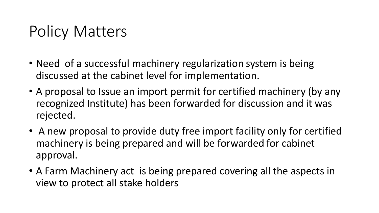#### Policy Matters

- Need of a successful machinery regularization system is being discussed at the cabinet level for implementation.
- A proposal to Issue an import permit for certified machinery (by any recognized Institute) has been forwarded for discussion and it was rejected.
- A new proposal to provide duty free import facility only for certified machinery is being prepared and will be forwarded for cabinet approval.
- A Farm Machinery act is being prepared covering all the aspects in view to protect all stake holders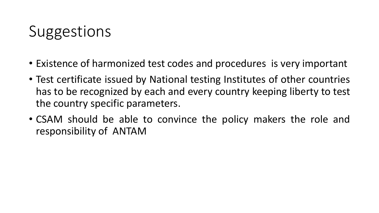#### Suggestions

- Existence of harmonized test codes and procedures is very important
- Test certificate issued by National testing Institutes of other countries has to be recognized by each and every country keeping liberty to test the country specific parameters.
- CSAM should be able to convince the policy makers the role and responsibility of ANTAM